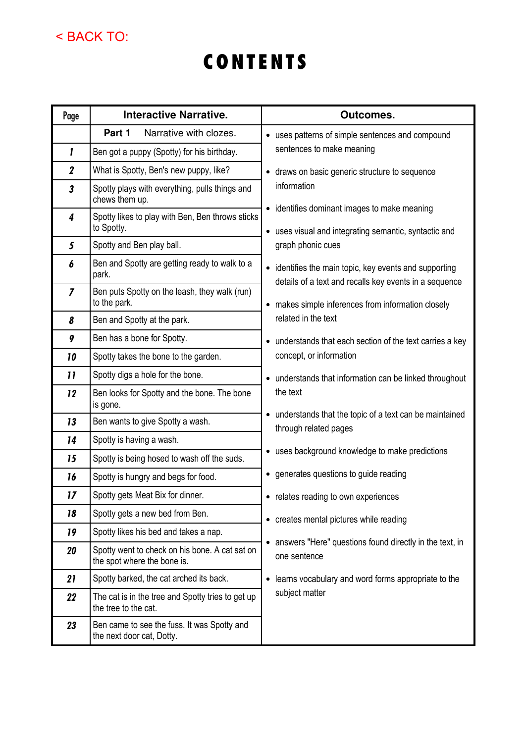## < BACK TO:

## CONTENTS

| Page                       | <b>Interactive Narrative.</b>                                                 | <b>Outcomes.</b>                                                                                                                                                                            |
|----------------------------|-------------------------------------------------------------------------------|---------------------------------------------------------------------------------------------------------------------------------------------------------------------------------------------|
|                            | Part 1<br>Narrative with clozes.                                              | • uses patterns of simple sentences and compound<br>sentences to make meaning                                                                                                               |
| 1                          | Ben got a puppy (Spotty) for his birthday.                                    |                                                                                                                                                                                             |
| $\boldsymbol{2}$           | What is Spotty, Ben's new puppy, like?                                        | • draws on basic generic structure to sequence<br>information<br>• identifies dominant images to make meaning<br>• uses visual and integrating semantic, syntactic and<br>graph phonic cues |
| $\overline{\mathbf{3}}$    | Spotty plays with everything, pulls things and<br>chews them up.              |                                                                                                                                                                                             |
| $\overline{\mathbf{4}}$    | Spotty likes to play with Ben, Ben throws sticks<br>to Spotty.                |                                                                                                                                                                                             |
| 5                          | Spotty and Ben play ball.                                                     |                                                                                                                                                                                             |
| 6                          | Ben and Spotty are getting ready to walk to a<br>park.                        | • identifies the main topic, key events and supporting<br>details of a text and recalls key events in a sequence                                                                            |
| $\overline{I}$             | Ben puts Spotty on the leash, they walk (run)<br>to the park.                 | • makes simple inferences from information closely<br>related in the text                                                                                                                   |
| 8                          | Ben and Spotty at the park.                                                   |                                                                                                                                                                                             |
| 9                          | Ben has a bone for Spotty.                                                    | • understands that each section of the text carries a key<br>concept, or information                                                                                                        |
| 10                         | Spotty takes the bone to the garden.                                          |                                                                                                                                                                                             |
| $\boldsymbol{\mathsf{11}}$ | Spotty digs a hole for the bone.                                              | • understands that information can be linked throughout<br>the text<br>understands that the topic of a text can be maintained<br>$\bullet$<br>through related pages                         |
| 12                         | Ben looks for Spotty and the bone. The bone<br>is gone.                       |                                                                                                                                                                                             |
| 13                         | Ben wants to give Spotty a wash.                                              |                                                                                                                                                                                             |
| 14                         | Spotty is having a wash.                                                      |                                                                                                                                                                                             |
| 15                         | Spotty is being hosed to wash off the suds.                                   | • uses background knowledge to make predictions                                                                                                                                             |
| 16                         | Spotty is hungry and begs for food.                                           | • generates questions to guide reading                                                                                                                                                      |
| 17                         | Spotty gets Meat Bix for dinner.                                              | • relates reading to own experiences                                                                                                                                                        |
| 18                         | Spotty gets a new bed from Ben.                                               | creates mental pictures while reading<br>٠                                                                                                                                                  |
| 19                         | Spotty likes his bed and takes a nap.                                         | answers "Here" questions found directly in the text, in<br>$\bullet$<br>one sentence                                                                                                        |
| 20                         | Spotty went to check on his bone. A cat sat on<br>the spot where the bone is. |                                                                                                                                                                                             |
| 21                         | Spotty barked, the cat arched its back.                                       | learns vocabulary and word forms appropriate to the<br>$\bullet$<br>subject matter                                                                                                          |
| 22                         | The cat is in the tree and Spotty tries to get up<br>the tree to the cat.     |                                                                                                                                                                                             |
| 23                         | Ben came to see the fuss. It was Spotty and<br>the next door cat, Dotty.      |                                                                                                                                                                                             |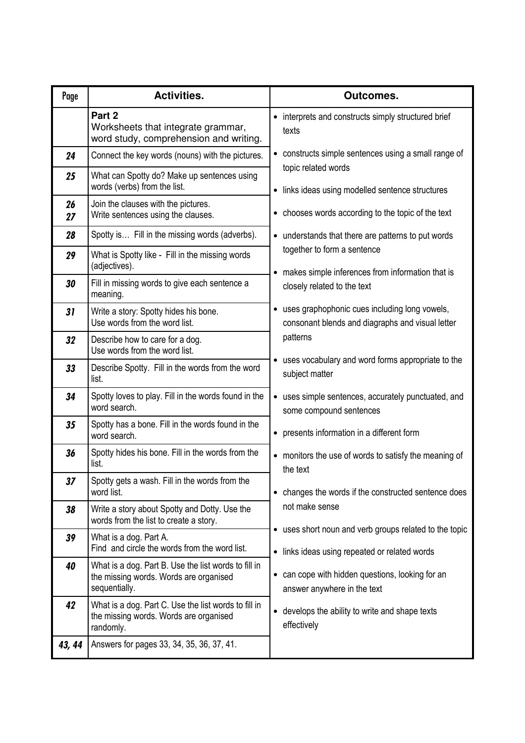| Page     | <b>Activities.</b>                                                                                              | <b>Outcomes.</b>                                                                                                   |
|----------|-----------------------------------------------------------------------------------------------------------------|--------------------------------------------------------------------------------------------------------------------|
|          | Part 2<br>Worksheets that integrate grammar,<br>word study, comprehension and writing.                          | interprets and constructs simply structured brief<br>$\bullet$<br>texts                                            |
| 24       | Connect the key words (nouns) with the pictures.                                                                | constructs simple sentences using a small range of                                                                 |
| 25       | What can Spotty do? Make up sentences using<br>words (verbs) from the list.                                     | topic related words<br>links ideas using modelled sentence structures<br>$\bullet$                                 |
| 26<br>27 | Join the clauses with the pictures.<br>Write sentences using the clauses.                                       | chooses words according to the topic of the text<br>٠                                                              |
| 28       | Spotty is Fill in the missing words (adverbs).                                                                  | • understands that there are patterns to put words                                                                 |
| 29       | What is Spotty like - Fill in the missing words<br>(adjectives).                                                | together to form a sentence                                                                                        |
| 30       | Fill in missing words to give each sentence a<br>meaning.                                                       | makes simple inferences from information that is<br>$\bullet$<br>closely related to the text                       |
| 31       | Write a story: Spotty hides his bone.<br>Use words from the word list.                                          | • uses graphophonic cues including long vowels,<br>consonant blends and diagraphs and visual letter                |
| 32       | Describe how to care for a dog.<br>Use words from the word list.                                                | patterns                                                                                                           |
| 33       | Describe Spotty. Fill in the words from the word<br>list.                                                       | uses vocabulary and word forms appropriate to the<br>subject matter                                                |
| 34       | Spotty loves to play. Fill in the words found in the<br>word search.                                            | uses simple sentences, accurately punctuated, and<br>$\bullet$<br>some compound sentences                          |
| 35       | Spotty has a bone. Fill in the words found in the<br>word search.                                               | presents information in a different form<br>$\bullet$                                                              |
| 36       | Spotty hides his bone. Fill in the words from the<br>list.                                                      | • monitors the use of words to satisfy the meaning of<br>the text                                                  |
| 37       | Spotty gets a wash. Fill in the words from the<br>word list.                                                    | • changes the words if the constructed sentence does                                                               |
| 38       | Write a story about Spotty and Dotty. Use the<br>words from the list to create a story.                         | not make sense                                                                                                     |
| 39       | What is a dog. Part A.<br>Find and circle the words from the word list.                                         | • uses short noun and verb groups related to the topic<br>links ideas using repeated or related words<br>$\bullet$ |
| 40       | What is a dog. Part B. Use the list words to fill in<br>the missing words. Words are organised<br>sequentially. | • can cope with hidden questions, looking for an<br>answer anywhere in the text                                    |
| 42       | What is a dog. Part C. Use the list words to fill in<br>the missing words. Words are organised<br>randomly.     | • develops the ability to write and shape texts<br>effectively                                                     |
| 43, 44   | Answers for pages 33, 34, 35, 36, 37, 41.                                                                       |                                                                                                                    |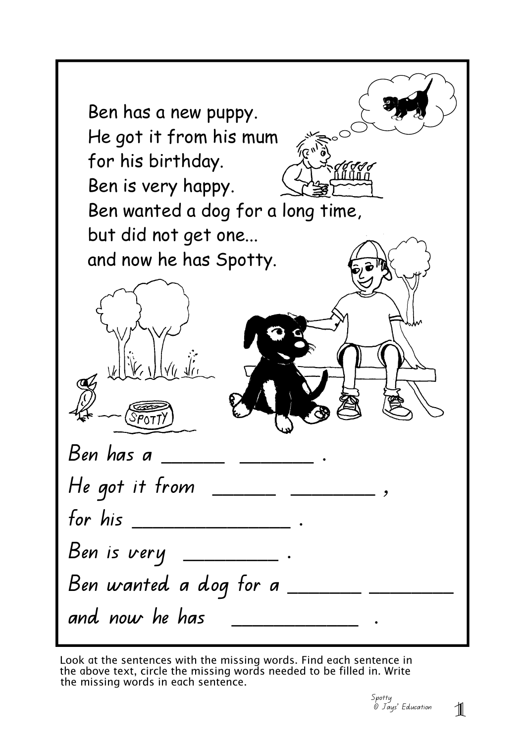| Ben has a new puppy.<br>He got it from his mum<br>،رح <sub>٧</sub><br>for his birthday.<br>Ben is very happy.<br>Ben wanted a dog for a long time,<br>but did not get one<br>and now he has Spotty. |
|-----------------------------------------------------------------------------------------------------------------------------------------------------------------------------------------------------|
|                                                                                                                                                                                                     |
|                                                                                                                                                                                                     |
| He got it from $\_\_\_\_\_\_\_\_\_\_\_\_\_\_\_\_\_\_\_$                                                                                                                                             |
| for his $\_\_$ .                                                                                                                                                                                    |
| Ben is very ___________ .                                                                                                                                                                           |
| Ben wanted a dog for a $\rule{1em}{0.15mm} \vspace{1em}$                                                                                                                                            |
| and now he has                                                                                                                                                                                      |

Look at the sentences with the missing words. Find each sentence in the above text, circle the missing words needed to be filled in. Write the missing words in each sentence.

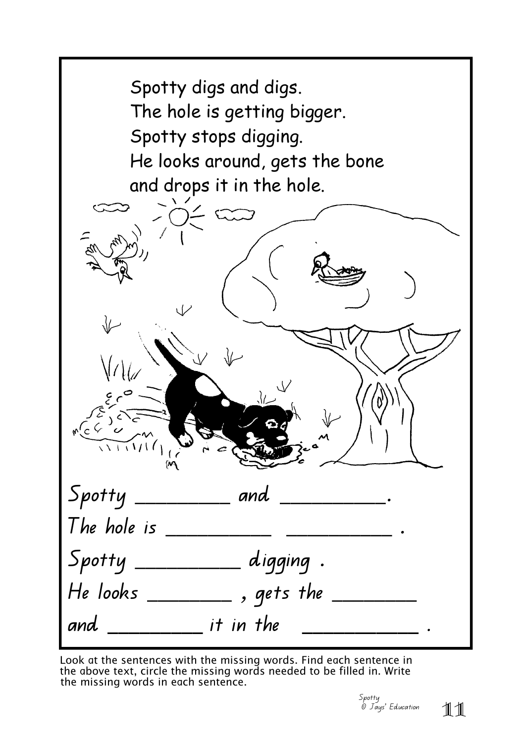| Spotty digs and digs.<br>The hole is getting bigger.<br>Spotty stops digging.<br>He looks around, gets the bone<br>and drops it in the hole. |  |  |
|----------------------------------------------------------------------------------------------------------------------------------------------|--|--|
|                                                                                                                                              |  |  |
|                                                                                                                                              |  |  |
|                                                                                                                                              |  |  |
|                                                                                                                                              |  |  |
|                                                                                                                                              |  |  |
| $\stackrel{1}{\mathcal{M}}$                                                                                                                  |  |  |
| ${\scriptstyle{\mathcal{S}}$ potty _______________ and ______________.                                                                       |  |  |
| The hole is $\_\_$                                                                                                                           |  |  |
| $ $ Spotty ____________ digging $\, .$                                                                                                       |  |  |
| He looks ___________ , gets the _______                                                                                                      |  |  |
| and ____________ it in the ____________________.                                                                                             |  |  |

Look at the sentences with the missing words. Find each sentence in the above text, circle the missing words needed to be filled in. Write the missing words in each sentence.

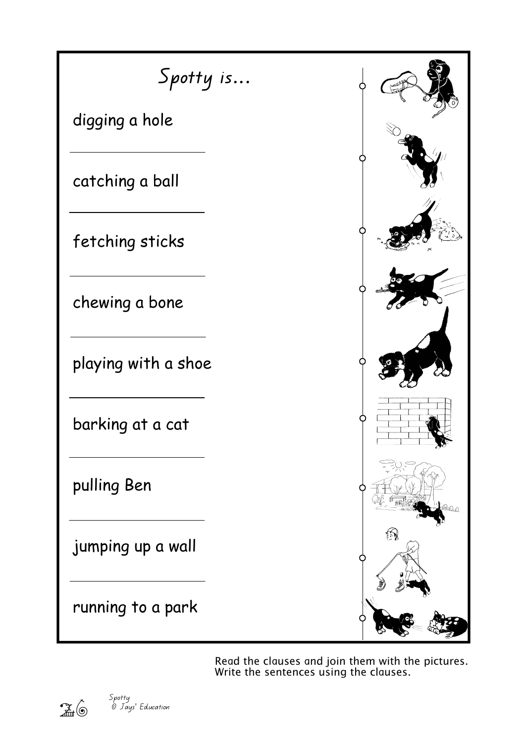

Read the clauses and join them with the pictures. Write the sentences using the clauses.